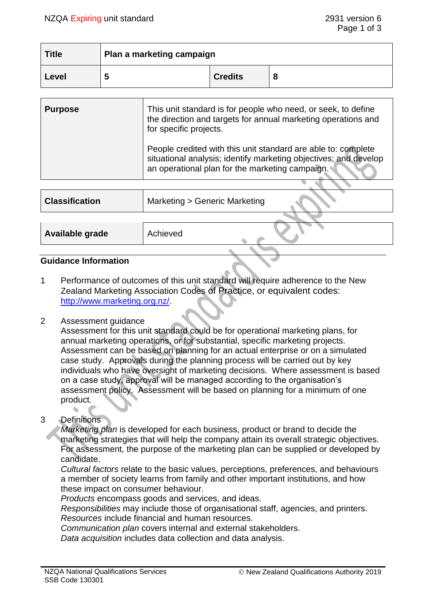| <b>Title</b> | Plan a marketing campaign |                |   |
|--------------|---------------------------|----------------|---|
| Level        | . .                       | <b>Credits</b> | О |

| <b>Purpose</b> | This unit standard is for people who need, or seek, to define<br>the direction and targets for annual marketing operations and<br>for specific projects.                             |
|----------------|--------------------------------------------------------------------------------------------------------------------------------------------------------------------------------------|
|                | People credited with this unit standard are able to: complete<br>situational analysis; identify marketing objectives; and develop<br>an operational plan for the marketing campaign. |

| <b>Classification</b> | Marketing > Generic Marketing |
|-----------------------|-------------------------------|
|                       |                               |
| Available grade       | Achieved                      |
|                       |                               |

# **Guidance Information**

1 Performance of outcomes of this unit standard will require adherence to the New Zealand Marketing Association Codes of Practice, or equivalent codes: [http://www.marketing.org.nz/.](http://www.marketing.org.nz/)

#### 2 Assessment guidance

Assessment for this unit standard could be for operational marketing plans, for annual marketing operations, or for substantial, specific marketing projects. Assessment can be based on planning for an actual enterprise or on a simulated case study. Approvals during the planning process will be carried out by key individuals who have oversight of marketing decisions. Where assessment is based on a case study, approval will be managed according to the organisation's assessment policy. Assessment will be based on planning for a minimum of one product.

# 3 Definitions

*Marketing plan* is developed for each business, product or brand to decide the marketing strategies that will help the company attain its overall strategic objectives. For assessment, the purpose of the marketing plan can be supplied or developed by candidate.

*Cultural factors* relate to the basic values, perceptions, preferences, and behaviours a member of society learns from family and other important institutions, and how these impact on consumer behaviour.

*Products* encompass goods and services, and ideas.

*Responsibilities* may include those of organisational staff, agencies, and printers. *Resources* include financial and human resources.

*Communication plan* covers internal and external stakeholders.

*Data acquisition* includes data collection and data analysis.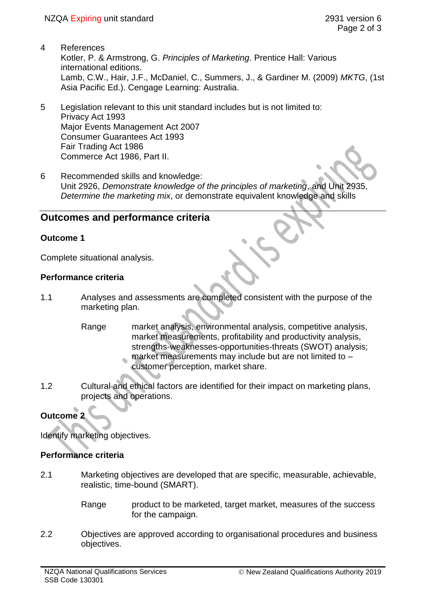- 4 References Kotler, P. & Armstrong, G. *Principles of Marketing*. Prentice Hall: Various international editions. Lamb, C.W., Hair, J.F., McDaniel, C., Summers, J., & Gardiner M. (2009) *MKTG*, (1st Asia Pacific Ed.). Cengage Learning: Australia.
- 5 Legislation relevant to this unit standard includes but is not limited to: Privacy Act 1993 Major Events Management Act 2007 Consumer Guarantees Act 1993 Fair Trading Act 1986 Commerce Act 1986, Part II.
- 6 Recommended skills and knowledge: Unit 2926, *Demonstrate knowledge of the principles of marketing*, and Unit 2935, *Determine the marketing mix*, or demonstrate equivalent knowledge and skills

# **Outcomes and performance criteria**

## **Outcome 1**

Complete situational analysis.

## **Performance criteria**

- 1.1 Analyses and assessments are completed consistent with the purpose of the marketing plan.
	- Range market analysis, environmental analysis, competitive analysis, market measurements, profitability and productivity analysis, strengths-weaknesses-opportunities-threats (SWOT) analysis; market measurements may include but are not limited to –
		- customer perception, market share.
- 1.2 Cultural and ethical factors are identified for their impact on marketing plans, projects and operations.

# **Outcome 2**

Identify marketing objectives.

### **Performance criteria**

- 2.1 Marketing objectives are developed that are specific, measurable, achievable, realistic, time-bound (SMART).
	- Range product to be marketed, target market, measures of the success for the campaign.
- 2.2 Objectives are approved according to organisational procedures and business objectives.